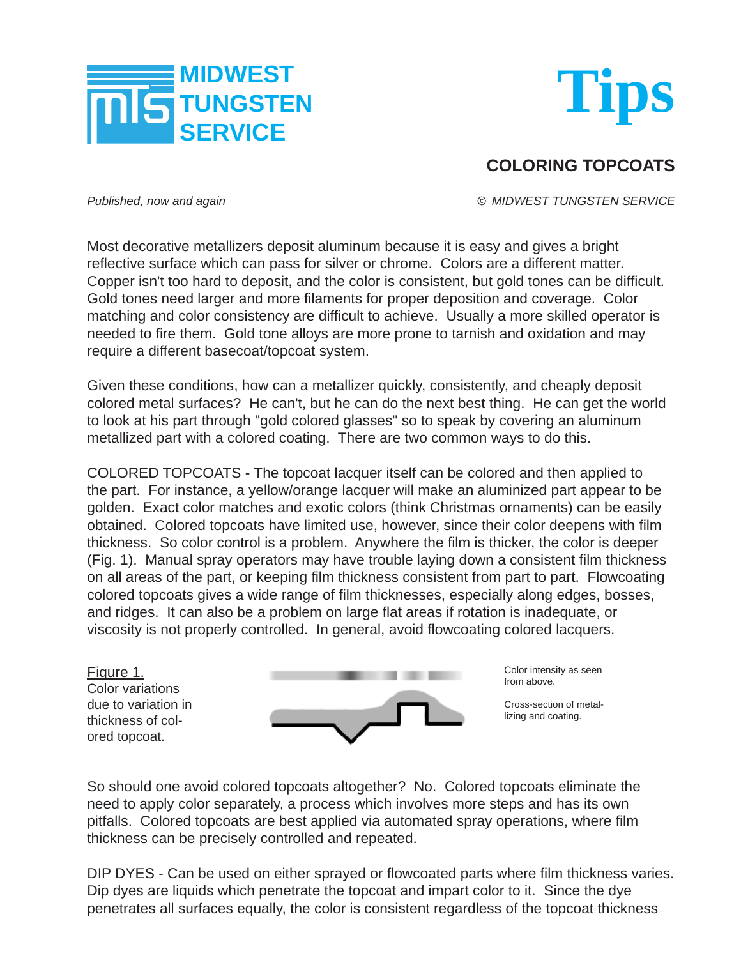



## **COLORING TOPCOATS**

*Published, now and again*  $\bullet$  *Published, now and again MIDWEST TUNGSTEN SERVICE* 

Most decorative metallizers deposit aluminum because it is easy and gives a bright reflective surface which can pass for silver or chrome. Colors are a different matter. Copper isn't too hard to deposit, and the color is consistent, but gold tones can be difficult. Gold tones need larger and more filaments for proper deposition and coverage. Color matching and color consistency are difficult to achieve. Usually a more skilled operator is needed to fire them. Gold tone alloys are more prone to tarnish and oxidation and may require a different basecoat/topcoat system.

Given these conditions, how can a metallizer quickly, consistently, and cheaply deposit colored metal surfaces? He can't, but he can do the next best thing. He can get the world to look at his part through "gold colored glasses" so to speak by covering an aluminum metallized part with a colored coating. There are two common ways to do this.

COLORED TOPCOATS - The topcoat lacquer itself can be colored and then applied to the part. For instance, a yellow/orange lacquer will make an aluminized part appear to be golden. Exact color matches and exotic colors (think Christmas ornaments) can be easily obtained. Colored topcoats have limited use, however, since their color deepens with film thickness. So color control is a problem. Anywhere the film is thicker, the color is deeper (Fig. 1). Manual spray operators may have trouble laying down a consistent film thickness on all areas of the part, or keeping film thickness consistent from part to part. Flowcoating colored topcoats gives a wide range of film thicknesses, especially along edges, bosses, and ridges. It can also be a problem on large flat areas if rotation is inadequate, or viscosity is not properly controlled. In general, avoid flowcoating colored lacquers.

Figure 1. Color variations due to variation in thickness of colored topcoat.



Color intensity as seen from above.

Cross-section of metallizing and coating.

So should one avoid colored topcoats altogether? No. Colored topcoats eliminate the need to apply color separately, a process which involves more steps and has its own pitfalls. Colored topcoats are best applied via automated spray operations, where film thickness can be precisely controlled and repeated.

DIP DYES - Can be used on either sprayed or flowcoated parts where film thickness varies. Dip dyes are liquids which penetrate the topcoat and impart color to it. Since the dye penetrates all surfaces equally, the color is consistent regardless of the topcoat thickness